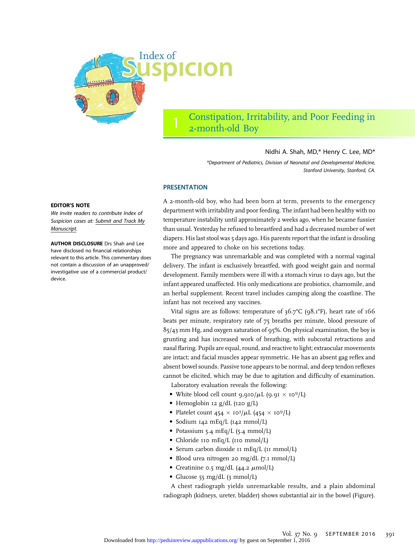

## Constipation, Irritability, and Poor Feeding in 2-month-old Boy

## Nidhi A. Shah, MD,\* Henry C. Lee, MD\*

\*Department of Pediatrics, Division of Neonatal and Developmental Medicine, Stanford University, Stanford, CA.

## **PRESENTATION**

A 2-month-old boy, who had been born at term, presents to the emergency department with irritability and poor feeding. The infant had been healthy with no temperature instability until approximately 2 weeks ago, when he became fussier than usual. Yesterday he refused to breastfeed and had a decreased number of wet diapers. His last stool was 5 days ago. His parents report that the infant is drooling more and appeared to choke on his secretions today.

The pregnancy was unremarkable and was completed with a normal vaginal delivery. The infant is exclusively breastfed, with good weight gain and normal development. Family members were ill with a stomach virus 10 days ago, but the infant appeared unaffected. His only medications are probiotics, chamomile, and an herbal supplement. Recent travel includes camping along the coastline. The infant has not received any vaccines.

Vital signs are as follows: temperature of 36.7°C (98.1°F), heart rate of 166 beats per minute, respiratory rate of 75 breaths per minute, blood pressure of 85/43 mm Hg, and oxygen saturation of 95%. On physical examination, the boy is grunting and has increased work of breathing, with subcostal retractions and nasal flaring. Pupils are equal, round, and reactive to light; extraocular movements are intact; and facial muscles appear symmetric. He has an absent gag reflex and absent bowel sounds. Passive tone appears to be normal, and deep tendon reflexes cannot be elicited, which may be due to agitation and difficulty of examination.

Laboratory evaluation reveals the following:

- White blood cell count  $9.910/\mu L$  (9.91  $\times 10^9/L$ )
- Hemoglobin 12 g/dL (120 g/L)
- Platelet count  $454 \times 10^3/\mu\text{L}$   $(454 \times 10^9/\text{L})$
- Sodium 142 mEq/L (142 mmol/L)
- Potassium 5.4 mEq/L (5.4 mmol/L)
- Chloride 110 mEq/L (110 mmol/L)
- Serum carbon dioxide 11 mEq/L (11 mmol/L)
- Blood urea nitrogen 20 mg/dL (7.1 mmol/L)
- Creatinine 0.5 mg/dL  $(44.2 \mu \text{mol/L})$
- Glucose 55 mg/dL (3 mmol/L)

A chest radiograph yields unremarkable results, and a plain abdominal radiograph (kidneys, ureter, bladder) shows substantial air in the bowel (Figure).

### EDITOR'S NOTE

We invite readers to contribute Index of Suspicion cases at: [Submit and Track My](http://mc.manuscriptcentral.com/pir) [Manuscript](http://mc.manuscriptcentral.com/pir).

AUTHOR DISCLOSURE Drs Shah and Lee have disclosed no financial relationships relevant to this article. This commentary does not contain a discussion of an unapproved/ investigative use of a commercial product/ device.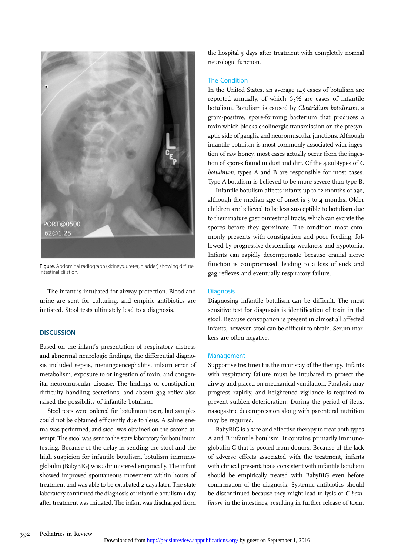

Figure. Abdominal radiograph (kidneys, ureter, bladder) showing diffuse intestinal dilation.

The infant is intubated for airway protection. Blood and urine are sent for culturing, and empiric antibiotics are initiated. Stool tests ultimately lead to a diagnosis.

### **DISCUSSION**

Based on the infant's presentation of respiratory distress and abnormal neurologic findings, the differential diagnosis included sepsis, meningoencephalitis, inborn error of metabolism, exposure to or ingestion of toxin, and congenital neuromuscular disease. The findings of constipation, difficulty handling secretions, and absent gag reflex also raised the possibility of infantile botulism.

Stool tests were ordered for botulinum toxin, but samples could not be obtained efficiently due to ileus. A saline enema was performed, and stool was obtained on the second attempt. The stool was sent to the state laboratory for botulinum testing. Because of the delay in sending the stool and the high suspicion for infantile botulism, botulism immunoglobulin (BabyBIG) was administered empirically. The infant showed improved spontaneous movement within hours of treatment and was able to be extubated 2 days later. The state laboratory confirmed the diagnosis of infantile botulism 1 day after treatment was initiated. The infant was discharged from

the hospital 5 days after treatment with completely normal neurologic function.

## The Condition

In the United States, an average 145 cases of botulism are reported annually, of which 65% are cases of infantile botulism. Botulism is caused by Clostridium botulinum, a gram-positive, spore-forming bacterium that produces a toxin which blocks cholinergic transmission on the presynaptic side of ganglia and neuromuscular junctions. Although infantile botulism is most commonly associated with ingestion of raw honey, most cases actually occur from the ingestion of spores found in dust and dirt. Of the 4 subtypes of C botulinum, types A and B are responsible for most cases. Type A botulism is believed to be more severe than type B.

Infantile botulism affects infants up to 12 months of age, although the median age of onset is 3 to 4 months. Older children are believed to be less susceptible to botulism due to their mature gastrointestinal tracts, which can excrete the spores before they germinate. The condition most commonly presents with constipation and poor feeding, followed by progressive descending weakness and hypotonia. Infants can rapidly decompensate because cranial nerve function is compromised, leading to a loss of suck and gag reflexes and eventually respiratory failure.

#### **Diagnosis**

Diagnosing infantile botulism can be difficult. The most sensitive test for diagnosis is identification of toxin in the stool. Because constipation is present in almost all affected infants, however, stool can be difficult to obtain. Serum markers are often negative.

## Management

Supportive treatment is the mainstay of the therapy. Infants with respiratory failure must be intubated to protect the airway and placed on mechanical ventilation. Paralysis may progress rapidly, and heightened vigilance is required to prevent sudden deterioration. During the period of ileus, nasogastric decompression along with parenteral nutrition may be required.

BabyBIG is a safe and effective therapy to treat both types A and B infantile botulism. It contains primarily immunoglobulin G that is pooled from donors. Because of the lack of adverse effects associated with the treatment, infants with clinical presentations consistent with infantile botulism should be empirically treated with BabyBIG even before confirmation of the diagnosis. Systemic antibiotics should be discontinued because they might lead to lysis of C botulinum in the intestines, resulting in further release of toxin.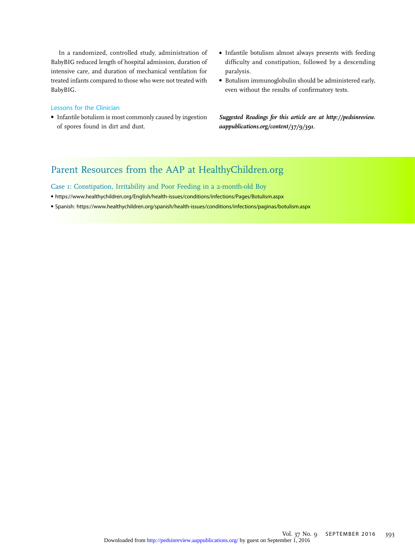In a randomized, controlled study, administration of BabyBIG reduced length of hospital admission, duration of intensive care, and duration of mechanical ventilation for treated infants compared to those who were not treated with BabyBIG.

## Lessons for the Clinician

- Infantile botulism is most commonly caused by ingestion of spores found in dirt and dust.
- Infantile botulism almost always presents with feeding difficulty and constipation, followed by a descending paralysis.
- Botulism immunoglobulin should be administered early, even without the results of confirmatory tests.

Suggested Readings for this article are at [http://pedsinreview.](http://pedsinreview.aappublications.org/content/37/9/391) [aappublications.org/content/37/9/391.](http://pedsinreview.aappublications.org/content/37/9/391)

# Parent Resources from the AAP at HealthyChildren.org

Case 1: Constipation, Irritability and Poor Feeding in a 2-month-old Boy

- <https://www.healthychildren.org/English/health-issues/conditions/infections/Pages/Botulism.aspx>
- Spanish:<https://www.healthychildren.org/spanish/health-issues/conditions/infections/paginas/botulism.aspx>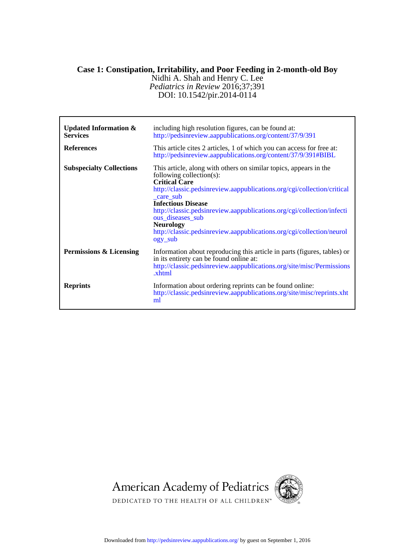## **Case 1: Constipation, Irritability, and Poor Feeding in 2-month-old Boy**

DOI: 10.1542/pir.2014-0114 *Pediatrics in Review* 2016;37;391 Nidhi A. Shah and Henry C. Lee

| <b>Updated Information &amp;</b><br><b>Services</b><br><b>References</b> | including high resolution figures, can be found at:<br>http://pedsinreview.aappublications.org/content/37/9/391<br>This article cites 2 articles, 1 of which you can access for free at:<br>http://pedsinreview.aappublications.org/content/37/9/391#BIBL                                                                                                                                                                                        |
|--------------------------------------------------------------------------|--------------------------------------------------------------------------------------------------------------------------------------------------------------------------------------------------------------------------------------------------------------------------------------------------------------------------------------------------------------------------------------------------------------------------------------------------|
| <b>Subspecialty Collections</b>                                          | This article, along with others on similar topics, appears in the<br>following collection(s):<br><b>Critical Care</b><br>http://classic.pedsinreview.aappublications.org/cgi/collection/critical<br>_care_sub<br><b>Infectious Disease</b><br>http://classic.pedsinreview.aappublications.org/cgi/collection/infecti<br>ous diseases sub<br><b>Neurology</b><br>http://classic.pedsinreview.aappublications.org/cgi/collection/neurol<br>ogy_sub |
| Permissions & Licensing                                                  | Information about reproducing this article in parts (figures, tables) or<br>in its entirety can be found online at:<br>http://classic.pedsinreview.aappublications.org/site/misc/Permissions<br>.xhtml                                                                                                                                                                                                                                           |
| <b>Reprints</b>                                                          | Information about ordering reprints can be found online:<br>http://classic.pedsinreview.aappublications.org/site/misc/reprints.xht<br>ml                                                                                                                                                                                                                                                                                                         |